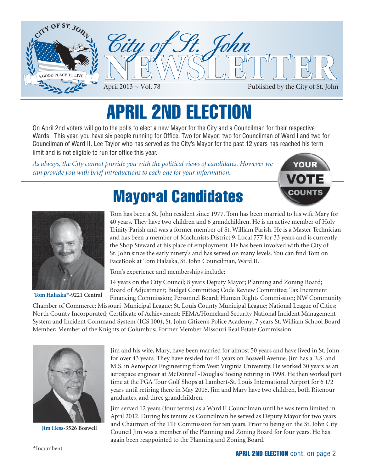

# APRIL 2ND ELECTION

On April 2nd voters will go to the polls to elect a new Mayor for the City and a Councilman for their respective Wards. This year, you have six people running for Office. Two for Mayor; two for Councilman of Ward I and two for Councilman of Ward II. Lee Taylor who has served as the City's Mayor for the past 12 years has reached his term limit and is not eligible to run for office this year.

*As always, the City cannot provide you with the political views of candidates. However we can provide you with brief introductions to each one for your information.*





**Tom Halaska\*-9221 Central**

# Mayoral Candidates

Tom has been a St. John resident since 1977. Tom has been married to his wife Mary for 40 years. They have two children and 6 grandchildren. He is an active member of Holy Trinity Parish and was a former member of St. William Parish. He is a Master Technician and has been a member of Machinists District 9, Local 777 for 33 years and is currently the Shop Steward at his place of employment. He has been involved with the City of St. John since the early ninety's and has served on many levels. You can find Tom on FaceBook at Tom Halaska, St. John Councilman, Ward II.

Tom's experience and memberships include:

14 years on the City Council; 8 years Deputy Mayor; Planning and Zoning Board; Board of Adjustment; Budget Committee; Code Review Committee; Tax Increment Financing Commission; Personnel Board; Human Rights Commission; NW Community

Chamber of Commerce; Missouri Municipal League; St. Louis County Municipal League; National League of Cities; North County Incorporated; Certificate of Achievement: FEMA/Homeland Security National Incident Management System and Incident Command System (ICS 100); St. John Citizen's Police Academy; 7 years St. William School Board Member; Member of the Knights of Columbus; Former Member Missouri Real Estate Commission.



**Jim Hess-3526 Boswell**

Jim and his wife, Mary, have been married for almost 50 years and have lived in St. John for over 43 years. They have resided for 41 years on Boswell Avenue. Jim has a B.S. and M.S. in Aerospace Engineering from West Virginia University. He worked 30 years as an aerospace engineer at McDonnell-Douglas/Boeing retiring in 1998. He then worked part time at the PGA Tour Golf Shops at Lambert-St. Louis International Airport for 6 1/2 years until retiring there in May 2005. Jim and Mary have two children, both Ritenour graduates, and three grandchildren.

Jim served 12 years (four terms) as a Ward II Councilman until he was term limited in April 2012. During his tenure as Councilman he served as Deputy Mayor for two years and Chairman of the TIF Commission for ten years. Prior to being on the St. John City Council Jim was a member of the Planning and Zoning Board for four years. He has again been reappointed to the Planning and Zoning Board.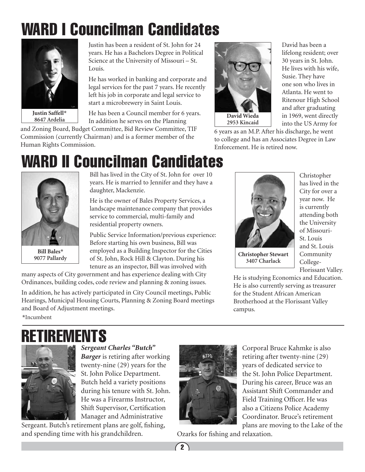# WARD I Councilman Candidates



**Justin Saffell\* 8647 Ardelia**

Justin has been a resident of St. John for 24 years. He has a Bachelors Degree in Political Science at the University of Missouri – St. Louis.

He has worked in banking and corporate and legal services for the past 7 years. He recently left his job in corporate and legal service to start a microbrewery in Saint Louis.

He has been a Council member for 6 years. In addition he serves on the Planning

and Zoning Board, Budget Committee, Bid Review Committee, TIF Commission (currently Chairman) and is a former member of the Human Rights Commission.



into the US Army for 6 years as an M.P. After his discharge, he went to college and has an Associates Degree in Law Enforcement. He is retired now.

David has been a lifelong resident; over 30 years in St. John. He lives with his wife, Susie. They have one son who lives in Atlanta. He went to Ritenour High School and after graduating in 1969, went directly

# WARD II Councilman Candidates



**Bill Bales\***

Bill has lived in the City of St. John for over 10 years. He is married to Jennifer and they have a daughter, Mackenzie.

He is the owner of Bales Property Services, a landscape maintenance company that provides service to commercial, multi-family and residential property owners.

Public Service Information/previous experience: Before starting his own business, Bill was employed as a Building Inspector for the Cities **of St. John, Rock Hill & Clayton. During his Christopher Stewart Christopher Stewart** tenure as an inspector, Bill was involved with

many aspects of City government and has experience dealing with City Ordinances, building codes, code review and planning & zoning issues.

In addition, he has actively participated in City Council meetings, Public Hearings, Municipal Housing Courts, Planning & Zoning Board meetings and Board of Adjustment meetings.



**3407 Charlack**

Christopher has lived in the City for over a year now. He is currently attending both the University of Missouri-St. Louis and St. Louis Community College-Florissant Valley.

He is studying Economics and Education. He is also currently serving as treasurer for the Student African American Brotherhood at the Florissant Valley campus.

## RETIREMENTS



**\***Incumbent

*Sergeant Charles "Butch" Barger* is retiring after working twenty-nine (29) years for the St. John Police Department. Butch held a variety positions during his tenure with St. John. He was a Firearms Instructor, Shift Supervisor, Certification Manager and Administrative

Sergeant. Butch's retirement plans are golf, fishing, and spending time with his grandchildren.



Corporal Bruce Kahmke is also retiring after twenty-nine (29) years of dedicated service to the St. John Police Department. During his career, Bruce was an Assistant Shift Commander and Field Training Officer. He was also a Citizens Police Academy Coordinator. Bruce's retirement plans are moving to the Lake of the

Ozarks for fishing and relaxation.

 $\bigcirc$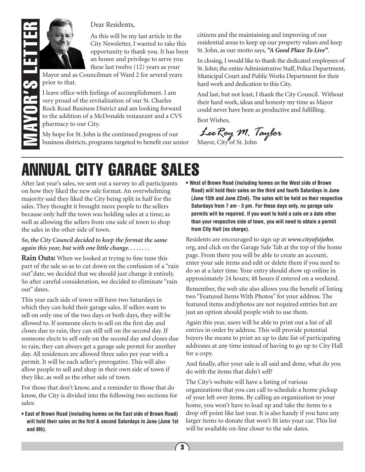

#### Dear Residents,

As this will be my last article in the City Newsletter, I wanted to take this opportunity to thank you. It has been an honor and privilege to serve you these last twelve (12) years as your

Mayor and as Councilman of Ward 2 for several years prior to that.

I leave office with feelings of accomplishment. I am very proud of the revitalization of our St. Charles Rock Road Business District and am looking forward to the addition of a McDonalds restaurant and a CVS pharmacy to our City.

My hope for St. John is the continued progress of our business districts, programs targeted to benefit our senior citizens and the maintaining and improving of our residential areas to keep up our property values and keep St. John, as our motto says, *"A Good Place To Live"*.

In closing, I would like to thank the dedicated employees of St. John; the entire Administrative Staff, Police Department, Municipal Court and Public Works Department for their hard work and dedication to this City.

And last, but not least, I thank the City Council. Without their hard work, ideas and honesty my time as Mayor could never have been as productive and fulfilling.

Best Wishes,

Lee Roy M. Taylor

# ANNUAL CITY GARAGE SALES

After last year's sales, we sent out a survey to all participants on how they liked the new sale format. An overwhelming majority said they liked the City being split in half for the sales. They thought it brought more people to the sellers because only half the town was holding sales at a time; as well as allowing the sellers from one side of town to shop the sales in the other side of town.

#### *So, the City Council decided to keep the format the same again this year, but with one little change. . . . . . . .*

**Rain Outs:** When we looked at trying to fine tune this part of the sale so as to cut down on the confusion of a "rain out"date, we decided that we should just change it entirely. So after careful consideration, we decided to eliminate "rain out" dates.

This year each side of town will have two Saturdays in which they can hold their garage sales. If sellers want to sell on only one of the two days or both days, they will be allowed to. If someone elects to sell on the first day and closes due to rain, they can still sell on the second day. If someone elects to sell only on the second day and closes due to rain, they can always get a garage sale permit for another day. All residences are allowed three sales per year with a permit. It will be each seller's prerogative. This will also allow people to sell and shop in their own side of town if they like, as well as the other side of town.

For those that don't know, and a reminder to those that do know, the City is divided into the following two sections for sales:

**• East of Brown Road (including homes on the East side of Brown Road) will hold their sales on the first & second Saturdays in June (June 1st and 8th).** 

**• West of Brown Road (including homes on the West side of Brown Road) will hold their sales on the third and fourth Saturdays in June (June 15th and June 22nd). The sales will be held on their respective Saturdays from 7 am - 3 pm. For these days only, no garage sale permits will be required. If you want to hold a sale on a date other than your respective side of town, you will need to obtain a permit from City Hall (no charge).**

Residents are encouraged to sign up at *www.cityofstjohn*. org, and click on the Garage Sale Tab at the top of the home page. From there you will be able to create an account, enter your sale items and edit or delete them if you need to do so at a later time. Your entry should show up online in approximately 24 hours; 48 hours if entered on a weekend.

Remember, the web site also allows you the benefit of listing two "Featured Items With Photos" for your address. The featured items and/photos are not required entries but are just an option should people wish to use them.

Again this year, users will be able to print out a list of all entries in order by address. This will provide potential buyers the means to print an up to date list of participating addresses at any time instead of having to go up to City Hall for a copy.

And finally, after your sale is all said and done, what do you do with the items that didn't sell?

The City's website will have a listing of various organizations that you can call to schedule a home pickup of your left over items. By calling an organization to your home, you won't have to load up and take the items to a drop off point like last year. It is also handy if you have any larger items to donate that won't fit into your car. This list will be available on-line closer to the sale dates.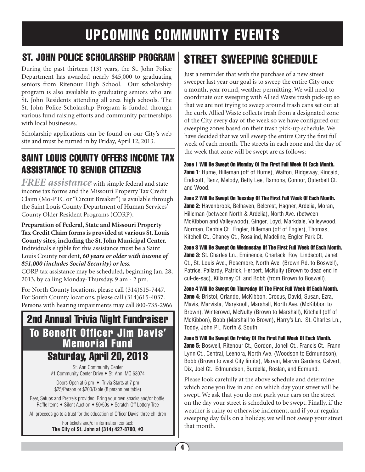## UPCOMING COMMUNITY EVENTS

#### ST. JOHN POLICE SCHOLARSHIP PROGRAM

During the past thirteen (13) years, the St. John Police Department has awarded nearly \$45,000 to graduating seniors from Ritenour High School. Our scholarship program is also available to graduating seniors who are St. John Residents attending all area high schools. The St. John Police Scholarship Program is funded through various fund raising efforts and community partnerships with local businesses.

Scholarship applications can be found on our City's web site and must be turned in by Friday, April 12, 2013.

#### SAINT LOUIS COUNTY OFFERS INCOME TAX ASSISTANCE TO SENIOR CITIZENS

*FREE assistance* with simple federal and state income tax forms and the Missouri Property Tax Credit Claim (Mo-PTC or "Circuit Breaker") is available through the Saint Louis County Department of Human Services' County Older Resident Programs (CORP).

**Preparation of Federal, State and Missouri Property Tax Credit Claim forms is provided at various St. Louis County sites, including the St. John Municipal Center.** Individuals eligible for this assistance must be a Saint Louis County resident, *60 years or older with income of \$51,000 (includes Social Security) or less.*

CORP tax assistance may be scheduled, beginning Jan. 28, 2013, by calling Monday-Thursday, 9 am - 2 pm.

For North County locations, please call (314)615-7447. For South County locations, please call (314)615-4037. Persons with hearing impairments may call 800-735-2966

### 2nd Annual Trivia Night Fundraiser To Benefit Officer Jim Davis' Memorial Fund Saturday, April 20, 2013

St. Ann Community Center #1 Community Center Drive • St. Ann, MO 63074

Doors Open at 6 pm • Trivia Starts at 7 pm \$25/Person or \$200/Table (8 person per table)

Beer, Setups and Pretzels provided. Bring your own snacks and/or bottle. Raffle Items • Silent Auction • 50/50s • Scratch-Off Lottery Tree

All proceeds go to a trust for the education of Officer Davis' three children

For tickets and/or information contact: **The City of St. John at (314) 427-8700, #3**

### Street sweeping schedule

Just a reminder that with the purchase of a new street sweeper last year our goal is to sweep the entire City once a month, year round, weather permitting. We will need to coordinate our sweeping with Allied Waste trash pick-up so that we are not trying to sweep around trash cans set out at the curb. Allied Waste collects trash from a designated zone of the City every day of the week so we have configured our sweeping zones based on their trash pick-up schedule. We have decided that we will sweep the entire City the first full week of each month. The streets in each zone and the day of the week that zone will be swept are as follows:

Zone 1 Will Be Swept On Monday Of The First Full Week Of Each Month. **Zone 1**: Hume, Hilleman (off of Hume), Walton, Ridgeway, Kincaid, Endicott, Renz, Melody, Betty Lee, Ramona, Connor, Outerbelt Ct. and Wood.

Zone 2 Will Be Swept On Tuesday Of The First Full Week Of Each Month. Zone 2: Havenbrook, Belhaven, Belcrest, Hagner, Ardelia, Moran, Hilleman (between North & Ardelia), North Ave. (between McKibbon and Valleywood), Ginger, Loyd, Markdale, Valleywood, Norman, Debbie Ct., Engler, Hilleman (off of Engler), Thomas, Kitchell Ct., Chaney Ct., Rosalind, Madeline, Engler Park Ct.

Zone 3 Will Be Swept On Wednesday Of The First Full Week Of Each Month. Zone 3: St. Charles Ln., Eminence, Charlack, Roy, Lindscott, Janet Ct., St. Louis Ave., Rosemore, North Ave. (Brown Rd. to Boswell), Patrice, Pallardy, Patrick, Herbert, McNulty (Brown to dead end in cul-de-sac), Killarney Ct. and Bobb (from Brown to Boswell).

Zone 4 Will Be Swept On Thursday Of The First Full Week Of Each Month. Zone 4: Bristol, Orlando, McKibbon, Crocus, David, Susan, Ezra, Mavis, Marvista, Maryknoll, Marshall, North Ave. (McKibbon to Brown), Winterowd, McNulty (Brown to Marshall), Kitchell (off of McKibbon), Bobb (Marshall to Brown), Harry's Ln., St. Charles Ln., Toddy, John Pl., North & South.

Zone 5 Will Be Swept On Friday Of The First Full Week Of Each Month. Zone 5: Boswell, Ritenour Ct., Gordon, Jonell Ct., Francis Ct., Frann Lynn Ct., Central, Leenora, North Ave. (Woodson to Edmundson), Bobb (Brown to west City limits), Marvin, Marvin Gardens, Calvert, Dix, Joel Ct., Edmundson, Burdella, Roslan, and Edmund.

Please look carefully at the above schedule and determine which zone you live in and on which day your street will be swept. We ask that you do not park your cars on the street on the day your street is scheduled to be swept. Finally, if the weather is rainy or otherwise inclement, and if your regular sweeping day falls on a holiday, we will not sweep your street that month.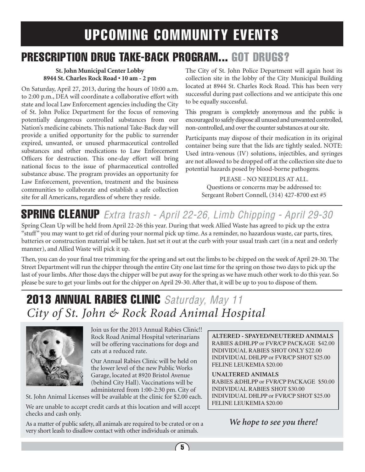## UPCOMING COMMUNITY EVENTS

### PRESCRIPTION DRUG TAKE-BACK PROGRAM... GOT DRUGS?

#### **St. John Municipal Center Lobby 8944 St. Charles Rock Road • 10 am - 2 pm**

On Saturday, April 27, 2013, during the hours of 10:00 a.m. to 2:00 p.m., DEA will coordinate a collaborative effort with state and local Law Enforcement agencies including the City of St. John Police Department for the focus of removing potentially dangerous controlled substances from our Nation's medicine cabinets. This national Take-Back day will provide a unified opportunity for the public to surrender expired, unwanted, or unused pharmaceutical controlled substances and other medications to Law Enforcement Officers for destruction. This one-day effort will bring national focus to the issue of pharmaceutical controlled substance abuse. The program provides an opportunity for Law Enforcement, prevention, treatment and the business communities to collaborate and establish a safe collection site for all Americans, regardless of where they reside.

The City of St. John Police Department will again host its collection site in the lobby of the City Municipal Building located at 8944 St. Charles Rock Road. This has been very successful during past collections and we anticipate this one to be equally successful.

This program is completely anonymous and the public is encouraged to safely dispose all unused and unwanted controlled, non-controlled, and over the counter substances at our site.

Participants may dispose of their medication in its original container being sure that the lids are tightly sealed. NOTE: Used intra-venous (IV) solutions, injectibles, and syringes are not allowed to be dropped off at the collection site due to potential hazards posed by blood-borne pathogens.

> PLEASE - NO NEEDLES AT ALL. Questions or concerns may be addressed to: Sergeant Robert Connell, (314) 427-8700 ext #5

## spring cleanup *Extra trash - April 22-26, Limb Chipping - April 29-30*

Spring Clean Up will be held from April 22-26 this year. During that week Allied Waste has agreed to pick up the extra "stuff" you may want to get rid of during your normal pick up time. As a reminder, no hazardous waste, car parts, tires, batteries or construction material will be taken. Just set it out at the curb with your usual trash cart (in a neat and orderly manner), and Allied Waste will pick it up.

Then, you can do your final tree trimming for the spring and set out the limbs to be chipped on the week of April 29-30. The Street Department will run the chipper through the entire City one last time for the spring on those two days to pick up the last of your limbs. After those days the chipper will be put away for the spring as we have much other work to do this year. So please be sure to get your limbs out for the chipper on April 29-30. After that, it will be up to you to dispose of them.

### 2013 Annual rabies clinic *Saturday, May 11 City of St. John & Rock Road Animal Hospital*



Join us for the 2013 Annual Rabies Clinic!! Rock Road Animal Hospital veterinarians will be offering vaccinations for dogs and cats at a reduced rate.

Our Annual Rabies Clinic will be held on the lower level of the new Public Works Garage, located at 8920 Bristol Avenue (behind City Hall). Vaccinations will be administered from 1:00-2:30 pm. City of

St. John Animal Licenses will be available at the clinic for \$2.00 each.

We are unable to accept credit cards at this location and will accept checks and cash only.

As a matter of public safety, all animals are required to be crated or on a very short leash to disallow contact with other individuals or animals.

**ALTERED - SPAYED/NEUTERED ANIMALS** RABIES &DHLPP or FVR/CP PACKAGE \$42.00 INDIVIDUAL RABIES SHOT ONLY \$22.00 INDIVIDUAL DHLPP or FVR/CP SHOT \$25.00 FELINE LEUKEMIA \$20.00

**UNALTERED ANIMALS**

RABIES &DHLPP or FVR/CP PACKAGE \$50.00 INDIVIDUAL RABIES SHOT \$30.00 INDIVIDUAL DHLPP or FVR/CP SHOT \$25.00 FELINE LEUKEMIA \$20.00

*We hope to see you there!*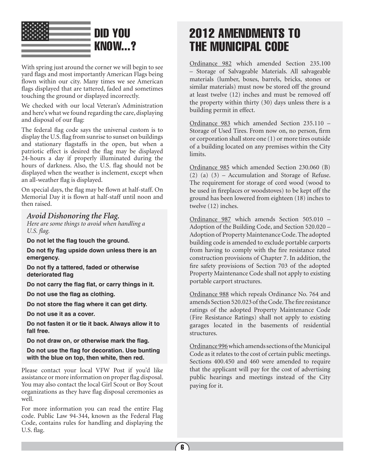

With spring just around the corner we will begin to see yard flags and most importantly American Flags being flown within our city. Many times we see American flags displayed that are tattered, faded and sometimes touching the ground or displayed incorrectly.

We checked with our local Veteran's Administration and here's what we found regarding the care, displaying and disposal of our flag:

The federal flag code says the universal custom is to display the U.S. flag from sunrise to sunset on buildings and stationary flagstaffs in the open, but when a patriotic effect is desired the flag may be displayed 24-hours a day if properly illuminated during the hours of darkness. Also, the U.S. flag should not be displayed when the weather is inclement, except when an all-weather flag is displayed.

On special days, the flag may be flown at half-staff. On Memorial Day it is flown at half-staff until noon and then raised.

#### *Avoid Dishonoring the Flag.*

*Here are some things to avoid when handling a U.S. flag.* 

**Do not let the flag touch the ground.** 

**Do not fly flag upside down unless there is an emergency.** 

**Do not fly a tattered, faded or otherwise deteriorated flag**

**Do not carry the flag flat, or carry things in it.** 

**Do not use the flag as clothing.** 

**Do not store the flag where it can get dirty.** 

**Do not use it as a cover.** 

**Do not fasten it or tie it back. Always allow it to fall free.** 

**Do not draw on, or otherwise mark the flag.** 

**Do not use the flag for decoration. Use bunting with the blue on top, then white, then red.**

Please contact your local VFW Post if you'd like assistance or more information on proper flag disposal. You may also contact the local Girl Scout or Boy Scout organizations as they have flag disposal ceremonies as well.

For more information you can read the entire Flag code. Public Law 94-344, known as the Federal Flag Code, contains rules for handling and displaying the U.S. flag.

### 2012 amendments to the municipal code

Ordinance 982 which amended Section 235.100 – Storage of Salvageable Materials. All salvageable materials (lumber, boxes, barrels, bricks, stones or similar materials) must now be stored off the ground at least twelve (12) inches and must be removed off the property within thirty (30) days unless there is a building permit in effect.

Ordinance 983 which amended Section 235.110 – Storage of Used Tires. From now on, no person, firm or corporation shall store one (1) or more tires outside of a building located on any premises within the City limits.

Ordinance 985 which amended Section 230.060 (B) (2) (a) (3) – Accumulation and Storage of Refuse. The requirement for storage of cord wood (wood to be used in fireplaces or woodstoves) to be kept off the ground has been lowered from eighteen (18) inches to twelve (12) inches.

Ordinance 987 which amends Section 505.010 – Adoption of the Building Code, and Section 520.020 – Adoption of Property Maintenance Code. The adopted building code is amended to exclude portable carports from having to comply with the fire resistance rated construction provisions of Chapter 7. In addition, the fire safety provisions of Section 703 of the adopted Property Maintenance Code shall not apply to existing portable carport structures.

Ordinance 988 which repeals Ordinance No. 764 and amends Section 520.023 of the Code. The fire resistance ratings of the adopted Property Maintenance Code (Fire Resistance Ratings) shall not apply to existing garages located in the basements of residential structures.

Ordinance 996 which amends sections of the Municipal Code as it relates to the cost of certain public meetings. Sections 400.450 and 460 were amended to require that the applicant will pay for the cost of advertising public hearings and meetings instead of the City paying for it.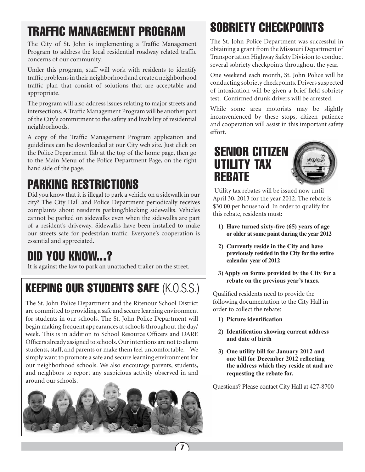## traffic management program

The City of St. John is implementing a Traffic Management Program to address the local residential roadway related traffic concerns of our community.

Under this program, staff will work with residents to identify traffic problems in their neighborhood and create a neighborhood traffic plan that consist of solutions that are acceptable and appropriate.

The program will also address issues relating to major streets and intersections. A Traffic Management Program will be another part of the City's commitment to the safety and livability of residential neighborhoods.

A copy of the Traffic Management Program application and guidelines can be downloaded at our City web site. Just click on the Police Department Tab at the top of the home page, then go to the Main Menu of the Police Department Page, on the right hand side of the page.

### Parking restrictions

Did you know that it is illegal to park a vehicle on a sidewalk in our city? The City Hall and Police Department periodically receives complaints about residents parking/blocking sidewalks. Vehicles cannot be parked on sidewalks even when the sidewalks are part of a resident's driveway. Sidewalks have been installed to make our streets safe for pedestrian traffic. Everyone's cooperation is essential and appreciated.

## Did you know...?

It is against the law to park an unattached trailer on the street.

## keeping our students safe (K.O.S.S.)

The St. John Police Department and the Ritenour School District are committed to providing a safe and secure learning environment for students in our schools. The St. John Police Department will begin making frequent appearances at schools throughout the day/ week. This is in addition to School Resource Officers and DARE Officers already assigned to schools. Our intentions are not to alarm students, staff, and parents or make them feel uncomfortable. We simply want to promote a safe and secure learning environment for our neighborhood schools. We also encourage parents, students, and neighbors to report any suspicious activity observed in and around our schools.



## sobriety checkpoints

The St. John Police Department was successful in obtaining a grant from the Missouri Department of Transportation Highway Safety Division to conduct several sobriety checkpoints throughout the year.

One weekend each month, St. John Police will be conducting sobriety checkpoints. Drivers suspected of intoxication will be given a brief field sobriety test. Confirmed drunk drivers will be arrested.

While some area motorists may be slightly inconvenienced by these stops, citizen patience and cooperation will assist in this important safety effort.

### SENIOR CITIZEN UTILITY TAX **REBATE**

 Utility tax rebates will be issued now until April 30, 2013 for the year 2012. The rebate is \$30.00 per household. In order to qualify for this rebate, residents must:

- **1) Have turned sixty-five (65) years of age or older at some point during the year 2012**
- **2) Currently reside in the City and have previously resided in the City for the entire calendar year of 2012**
- **3) Apply on forms provided by the City for a rebate on the previous year's taxes.**

Qualified residents need to provide the following documentation to the City Hall in order to collect the rebate:

- **1) Picture identification**
- **2) Identification showing current address and date of birth**
- **3) One utility bill for January 2012 and one bill for December 2012 reflecting the address which they reside at and are requesting the rebate for.**

Questions? Please contact City Hall at 427-8700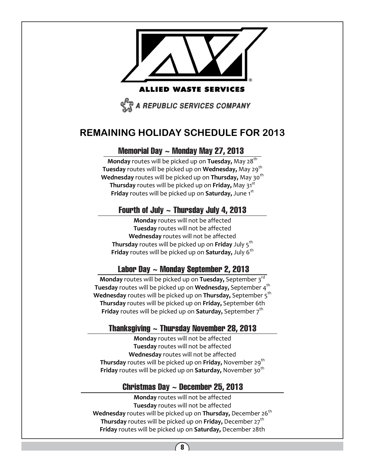

### **REMAINING HOLIDAY SCHEDULE FOR 2013**

#### Memorial Day ~ Monday May 27, 2013

**Monday** routes will be picked up on **Tuesday,** May 28<sup>th</sup> **Tuesday** routes will be picked up on **Wednesday**, May 29<sup>th</sup> **Wednesday** routes will be picked up on **Thursday,** May 30<sup>th</sup> **Thursday** routes will be picked up on **Friday**, May 31<sup>st</sup> **Friday** routes will be picked up on **Saturday,** June 1 st

#### Fourth of July  $\sim$  Thursday July 4, 2013

**Monday** routes will not be affected **Tuesday** routes will not be affected **Wednesday** routes will not be affected **Thursday** routes will be picked up on **Friday** July 5th **Friday** routes will be picked up on **Saturday,** July 6<sup>th</sup>

#### Labor Day ~ Monday September 2, 2013

**Monday** routes will be picked up on **Tuesday**, September 3<sup>rd</sup> **Tuesday** routes will be picked up on **Wednesday,** September 4<sup>th</sup> **Wednesday** routes will be picked up on **Thursday,** September 5<sup>th</sup> **Thursday** routes will be picked up on **Friday,** September 6th **Friday** routes will be picked up on **Saturday**, September 7<sup>th</sup>

#### Thanksgiving  $\sim$  Thursday November 28, 2013

**Monday** routes will not be affected **Tuesday** routes will not be affected **Wednesday** routes will not be affected **Thursday** routes will be picked up on **Friday,** November 29<sup>th</sup> **Friday** routes will be picked up on **Saturday,** November 30<sup>th</sup>

#### Christmas Day  $\sim$  December 25, 2013

**Monday** routes will not be affected **Tuesday** routes will not be affected **Wednesday** routes will be picked up on **Thursday**, December 26<sup>th</sup> **Thursday** routes will be picked up on **Friday**, December 27<sup>th</sup> **Friday** routes will be picked up on **Saturday,** December 28th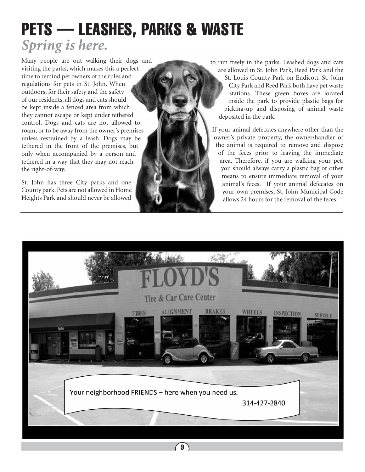## *Spring is here.* PETS — LEASHES, PARKS & WASTE

Many people are out walking their dogs and visiting the parks, which makes this a perfect time to remind pet owners of the rules and regulations for pets in St. John. When outdoors, for their safety and the safety of our residents, all dogs and cats should be kept inside a fenced area from which they cannot escape or kept under tethered control. Dogs and cats are not allowed to roam, or to be away from the owner's premises unless restrained by a leash. Dogs may be tethered in the front of the premises, but only when accompanied by a person and tethered in a way that they may not reach the right-of-way.

St. John has three City parks and one County park. Pets are not allowed in Home Heights Park and should never be allowed to run freely in the parks. Leashed dogs and cats are allowed in St. John Park, Reed Park and the St. Louis County Park on Endicott. St. John City Park and Reed Park both have pet waste stations. These green boxes are located inside the park to provide plastic bags for picking-up and disposing of animal waste deposited in the park.

If your animal defecates anywhere other than the owner's private property, the owner/handler of the animal is required to remove and dispose of the feces prior to leaving the immediate area. Therefore, if you are walking your pet, you should always carry a plastic bag or other means to ensure immediate removal of your animal's feces. If your animal defecates on your own premises, St. John Municipal Code allows 24 hours for the removal of the feces.

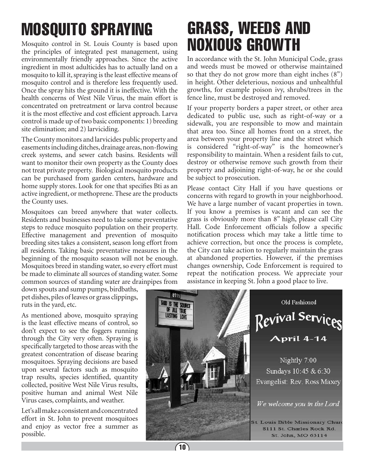# mosquito spraying

Mosquito control in St. Louis County is based upon the principles of integrated pest management, using environmentally friendly approaches. Since the active ingredient in most adulticides has to actually land on a mosquito to kill it, spraying is the least effective means of mosquito control and is therefore less frequently used. Once the spray hits the ground it is ineffective. With the health concerns of West Nile Virus, the main effort is concentrated on pretreatment or larva control because it is the most effective and cost efficient approach. Larva control is made up of two basic components: 1) breeding site elimination; and 2) larviciding.

The County monitors and larvicides public property and easements including ditches, drainage areas, non-flowing creek systems, and sewer catch basins. Residents will want to monitor their own property as the County does not treat private property. Biological mosquito products can be purchased from garden centers, hardware and home supply stores. Look for one that specifies Bti as an active ingredient, or methoprene. These are the products the County uses.

Mosquitoes can breed anywhere that water collects. Residents and businesses need to take some preventative steps to reduce mosquito population on their property. Effective management and prevention of mosquito breeding sites takes a consistent, season long effort from all residents. Taking basic preventative measures in the beginning of the mosquito season will not be enough. Mosquitoes breed in standing water, so every effort must be made to eliminate all sources of standing water. Some common sources of standing water are drainpipes from

down spouts and sump pumps, birdbaths, pet dishes, piles of leaves or grass clippings, ruts in the yard, etc.

As mentioned above, mosquito spraying is the least effective means of control, so don't expect to see the foggers running through the City very often. Spraying is specifically targeted to those areas with the greatest concentration of disease bearing mosquitoes. Spraying decisions are based upon several factors such as mosquito trap results, species identified, quantity collected, positive West Nile Virus results, positive human and animal West Nile Virus cases, complaints, and weather.

Let's all make a consistent and concentrated effort in St. John to prevent mosquitoes and enjoy as vector free a summer as possible.

# GRASS, WEEDS AND NOXIOUS GROWTH

In accordance with the St. John Municipal Code, grass and weeds must be mowed or otherwise maintained so that they do not grow more than eight inches (8") in height. Other deleterious, noxious and unhealthful growths, for example poison ivy, shrubs/trees in the fence line, must be destroyed and removed.

If your property borders a paper street, or other area dedicated to public use, such as right-of-way or a sidewalk, you are responsible to mow and maintain that area too. Since all homes front on a street, the area between your property line and the street which is considered "right-of-way" is the homeowner's responsibility to maintain. When a resident fails to cut, destroy or otherwise remove such growth from their property and adjoining right-of-way, he or she could be subject to prosecution.

Please contact City Hall if you have questions or concerns with regard to growth in your neighborhood. We have a large number of vacant properties in town. If you know a premises is vacant and can see the grass is obviously more than 8" high, please call City Hall. Code Enforcement officials follow a specific notification process which may take a little time to achieve correction, but once the process is complete, the City can take action to regularly maintain the grass at abandoned properties. However, if the premises changes ownership, Code Enforcement is required to repeat the notification process. We appreciate your assistance in keeping St. John a good place to live.



 $(10)$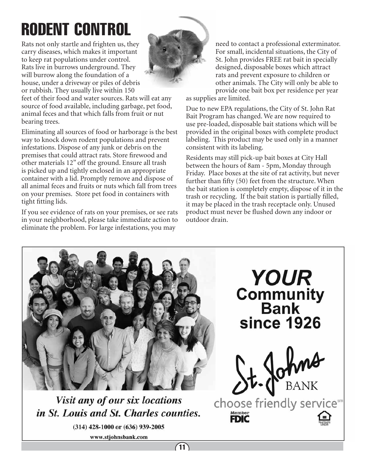# RODENT CONTROL

Rats not only startle and frighten us, they carry diseases, which makes it important to keep rat populations under control. Rats live in burrows underground. They will burrow along the foundation of a house, under a driveway or piles of debris or rubbish. They usually live within 150

feet of their food and water sources. Rats will eat any source of food available, including garbage, pet food, animal feces and that which falls from fruit or nut bearing trees.

Eliminating all sources of food or harborage is the best way to knock down rodent populations and prevent infestations. Dispose of any junk or debris on the premises that could attract rats. Store firewood and other materials 12" off the ground. Ensure all trash is picked up and tightly enclosed in an appropriate container with a lid. Promptly remove and dispose of all animal feces and fruits or nuts which fall from trees on your premises. Store pet food in containers with tight fitting lids.

If you see evidence of rats on your premises, or see rats in your neighborhood, please take immediate action to eliminate the problem. For large infestations, you may



as supplies are limited.

Due to new EPA regulations, the City of St. John Rat Bait Program has changed. We are now required to use pre-loaded, disposable bait stations which will be provided in the original boxes with complete product labeling. This product may be used only in a manner consistent with its labeling.

Residents may still pick-up bait boxes at City Hall between the hours of 8am - 5pm, Monday through Friday. Place boxes at the site of rat activity, but never further than fifty (50) feet from the structure. When the bait station is completely empty, dispose of it in the trash or recycling. If the bait station is partially filled, it may be placed in the trash receptacle only. Unused product must never be flushed down any indoor or outdoor drain.



Visit any of our six locations in St. Louis and St. Charles counties.

(314) 428-1000 or (636) 939-2005

www.stjohnsbank.com



choose friendly servicesm Member<br>**FDIC**